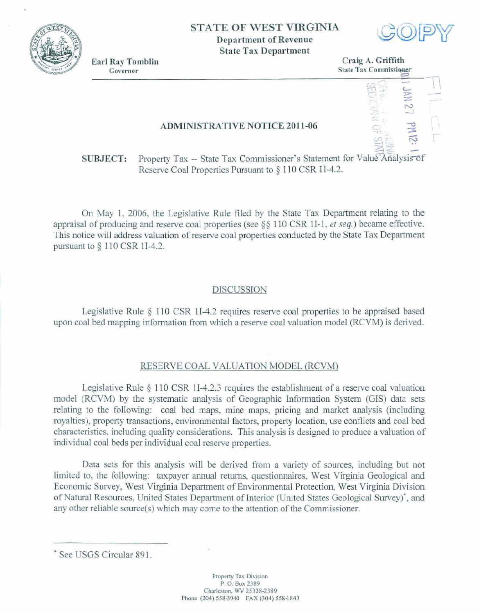

## **STATE OF WEST VIRGINIA Department of Revenue**

**State Tax Department** 



**Governor State Tax Commissioner** 



**ADMINISTRATIVE NOTICE 2011-06** 

**SUBJECT:** Property Tax -- State Tax Commissioner's Statement for Value Analysis of Reserve Cod **Properties** Pursuant **to** § **1** 1 **0 CSR** 11-4.2.

**On May 1, 2006, the Legislative Rule filed by** the **State Tax Department relating to the appraisal of producing and reserve coal properties (see 5 9 1 10** CSR **1** I- **1,** *et* **seq.) became effective.**  This **notice** will address valuation **of** reserve coal **properties** conducted **by the State** Tax Department **pursuant to 4** 11 **0 CSR 11-42.** 

## **DISCUSSION**

**Legislative** Rule **4 1** 1 **0 CSR 114.2** requires **reserve coal properties** to be **appraised based upon coal bed mapping information from which a reserve coal valuation model (RCVM) is derived.** 

## **RESERVE COAL VALUATION** MODEL IRCVM)

**Legislative** Rule **1 1** 0 CSR 11-4.2.3 **requires the** atablishment **of a** reserve **coal** valuation model (RCVM) by the systematic analysis of Geographic Information System (GIS) data sets **relating to the** following: **caal bed maps, mine maps, pricing and market** dysis **(including**  royalties), property transactions, environmental factors, property location, use conflicts and coal bed **characte&ics, including quality considerations. This analysis is designed to produce a valuation af**  individud **coal** beds **per** individual coal **reserve properties.** 

**Data sets** for **this analysis will be derived** from **a variety** of **sows, including but** *not*  **limited to, the** following: **taxpayer** annual **returns, questionnaires, West Virginia Geological** and Economic Survey, West Virginia Department of Environmental Protection, West Virginia Division **of Natural Resources, United States Department of Interior (United States Geological Survey)<sup>\*</sup>, and** any other reliable source(s) which may come to the attention of the Commissioner.

<sup>&#</sup>x27; **See USGS** Circular **891.**